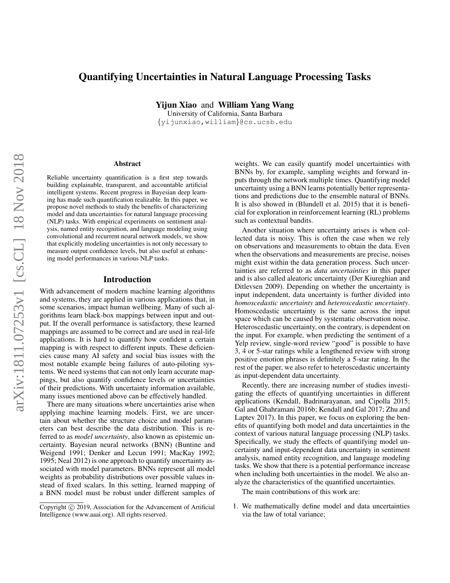# Quantifying Uncertainties in Natural Language Processing Tasks

Yijun Xiao and William Yang Wang

University of California, Santa Barbara {yijunxiao,william}@cs.ucsb.edu

#### Abstract

Reliable uncertainty quantification is a first step towards building explainable, transparent, and accountable artificial intelligent systems. Recent progress in Bayesian deep learning has made such quantification realizable. In this paper, we propose novel methods to study the benefits of characterizing model and data uncertainties for natural language processing (NLP) tasks. With empirical experiments on sentiment analysis, named entity recognition, and language modeling using convolutional and recurrent neural network models, we show that explicitly modeling uncertainties is not only necessary to measure output confidence levels, but also useful at enhancing model performances in various NLP tasks.

### Introduction

With advancement of modern machine learning algorithms and systems, they are applied in various applications that, in some scenarios, impact human wellbeing. Many of such algorithms learn black-box mappings between input and output. If the overall performance is satisfactory, these learned mappings are assumed to be correct and are used in real-life applications. It is hard to quantify how confident a certain mapping is with respect to different inputs. These deficiencies cause many AI safety and social bias issues with the most notable example being failures of auto-piloting systems. We need systems that can not only learn accurate mappings, but also quantify confidence levels or uncertainties of their predictions. With uncertainty information available, many issues mentioned above can be effectively handled.

There are many situations where uncertainties arise when applying machine learning models. First, we are uncertain about whether the structure choice and model parameters can best describe the data distribution. This is referred to as *model uncertainty*, also known as epistemic uncertainty. Bayesian neural networks (BNN) (Buntine and Weigend 1991; Denker and Lecun 1991; MacKay 1992; 1995; Neal 2012) is one approach to quantify uncertainty associated with model parameters. BNNs represent all model weights as probability distributions over possible values instead of fixed scalars. In this setting, learned mapping of a BNN model must be robust under different samples of

weights. We can easily quantify model uncertainties with BNNs by, for example, sampling weights and forward inputs through the network multiple times. Quantifying model uncertainty using a BNN learns potentially better representations and predictions due to the ensemble natural of BNNs. It is also showed in (Blundell et al. 2015) that it is beneficial for exploration in reinforcement learning (RL) problems such as contextual bandits.

Another situation where uncertainty arises is when collected data is noisy. This is often the case when we rely on observations and measurements to obtain the data. Even when the observations and measurements are precise, noises might exist within the data generation process. Such uncertainties are referred to as *data uncertainties* in this paper and is also called aleatoric uncertainty (Der Kiureghian and Ditlevsen 2009). Depending on whether the uncertainty is input independent, data uncertainty is further divided into *homoscedastic uncertainty* and *heteroscedastic uncertainty*. Homoscedastic uncertainty is the same across the input space which can be caused by systematic observation noise. Heteroscedastic uncertainty, on the contrary, is dependent on the input. For example, when predicting the sentiment of a Yelp review, single-word review "good" is possible to have 3, 4 or 5-star ratings while a lengthened review with strong positive emotion phrases is definitely a 5-star rating. In the rest of the paper, we also refer to heteroscedastic uncertainty as input-dependent data uncertainty.

Recently, there are increasing number of studies investigating the effects of quantifying uncertainties in different applications (Kendall, Badrinarayanan, and Cipolla 2015; Gal and Ghahramani 2016b; Kendall and Gal 2017; Zhu and Laptev 2017). In this paper, we focus on exploring the benefits of quantifying both model and data uncertainties in the context of various natural language processing (NLP) tasks. Specifically, we study the effects of quantifying model uncertainty and input-dependent data uncertainty in sentiment analysis, named entity recognition, and language modeling tasks. We show that there is a potential performance increase when including both uncertainties in the model. We also analyze the characteristics of the quantified uncertainties.

The main contributions of this work are:

1. We mathematically define model and data uncertainties via the law of total variance;

Copyright (c) 2019, Association for the Advancement of Artificial Intelligence (www.aaai.org). All rights reserved.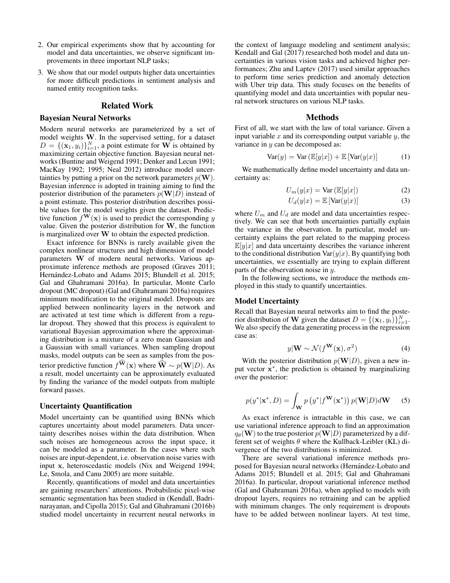- 2. Our empirical experiments show that by accounting for model and data uncertainties, we observe significant improvements in three important NLP tasks;
- 3. We show that our model outputs higher data uncertainties for more difficult predictions in sentiment analysis and named entity recognition tasks.

### Related Work

#### Bayesian Neural Networks

Modern neural networks are parameterized by a set of model weights W. In the supervised setting, for a dataset  $D = \{(\mathbf{x}_1, y_i)\}_{i=1}^N$ , a point estimate for W is obtained by maximizing certain objective function. Bayesian neural networks (Buntine and Weigend 1991; Denker and Lecun 1991; MacKay 1992; 1995; Neal 2012) introduce model uncertainties by putting a prior on the network parameters  $p(\mathbf{W})$ . Bayesian inference is adopted in training aiming to find the posterior distribution of the parameters  $p(\mathbf{W}|D)$  instead of a point estimate. This posterior distribution describes possible values for the model weights given the dataset. Predictive function  $f^{\mathbf{W}}(\mathbf{x})$  is used to predict the corresponding y value. Given the posterior distribution for W, the function is marginalized over W to obtain the expected prediction.

Exact inference for BNNs is rarely available given the complex nonlinear structures and high dimension of model parameters W of modern neural networks. Various approximate inference methods are proposed (Graves 2011; Hernández-Lobato and Adams 2015; Blundell et al. 2015; Gal and Ghahramani 2016a). In particular, Monte Carlo dropout (MC dropout) (Gal and Ghahramani 2016a) requires minimum modification to the original model. Dropouts are applied between nonlinearity layers in the network and are activated at test time which is different from a regular dropout. They showed that this process is equivalent to variational Bayesian approximation where the approximating distribution is a mixture of a zero mean Gaussian and a Gaussian with small variances. When sampling dropout masks, model outputs can be seen as samples from the posterior predictive function  $f^{\widehat{\mathbf{W}}}(\mathbf{x})$  where  $\widehat{\mathbf{W}} \sim p(\mathbf{W}|D)$ . As a result, model uncertainty can be approximately evaluated by finding the variance of the model outputs from multiple forward passes.

#### Uncertainty Quantification

Model uncertainty can be quantified using BNNs which captures uncertainty about model parameters. Data uncertainty describes noises within the data distribution. When such noises are homogeneous across the input space, it can be modeled as a parameter. In the cases where such noises are input-dependent, i.e. observation noise varies with input x, heteroscedastic models (Nix and Weigend 1994; Le, Smola, and Canu 2005) are more suitable.

Recently, quantifications of model and data uncertainties are gaining researchers' attentions. Probabilistic pixel-wise semantic segmentation has been studied in (Kendall, Badrinarayanan, and Cipolla 2015); Gal and Ghahramani (2016b) studied model uncertainty in recurrent neural networks in

the context of language modeling and sentiment analysis; Kendall and Gal (2017) researched both model and data uncertainties in various vision tasks and achieved higher performances; Zhu and Laptev (2017) used similar approaches to perform time series prediction and anomaly detection with Uber trip data. This study focuses on the benefits of quantifying model and data uncertainties with popular neural network structures on various NLP tasks.

### Methods

First of all, we start with the law of total variance. Given a input variable  $x$  and its corresponding output variable  $y$ , the variance in  $y$  can be decomposed as:

$$
Var(y) = Var (\mathbb{E}[y|x]) + \mathbb{E}[Var(y|x)] \tag{1}
$$

We mathematically define model uncertainty and data uncertainty as:

$$
U_m(y|x) = \text{Var}\left(\mathbb{E}[y|x]\right) \tag{2}
$$

$$
U_d(y|x) = \mathbb{E}\left[\text{Var}(y|x)\right] \tag{3}
$$

where  $U_m$  and  $U_d$  are model and data uncertainties respectively. We can see that both uncertainties partially explain the variance in the observation. In particular, model uncertainty explains the part related to the mapping process  $\mathbb{E}[y|x]$  and data uncertainty describes the variance inherent to the conditional distribution  $\text{Var}(y|x)$ . By quantifying both uncertainties, we essentially are trying to explain different parts of the observation noise in y.

In the following sections, we introduce the methods employed in this study to quantify uncertainties.

#### Model Uncertainty

Recall that Bayesian neural networks aim to find the posterior distribution of **W** given the dataset  $D = \{(\mathbf{x}_1, y_i)\}_{i=1}^N$ . We also specify the data generating process in the regression case as:

$$
y|\mathbf{W} \sim \mathcal{N}(f^{\mathbf{W}}(\mathbf{x}), \sigma^2)
$$
 (4)

With the posterior distribution  $p(\mathbf{W}|D)$ , given a new input vector  $x^*$ , the prediction is obtained by marginalizing over the posterior:

$$
p(y^*|\mathbf{x}^*, D) = \int_{\mathbf{W}} p(y^*|f^{\mathbf{W}}(\mathbf{x}^*)) p(\mathbf{W}|D) d\mathbf{W} \qquad (5)
$$

As exact inference is intractable in this case, we can use variational inference approach to find an approximation  $q_{\theta}(\mathbf{W})$  to the true posterior  $p(\mathbf{W}|D)$  parameterized by a different set of weights  $\theta$  where the Kullback-Leibler (KL) divergence of the two distributions is minimized.

There are several variational inference methods proposed for Bayesian neural networks (Hernández-Lobato and Adams 2015; Blundell et al. 2015; Gal and Ghahramani 2016a). In particular, dropout variational inference method (Gal and Ghahramani 2016a), when applied to models with dropout layers, requires no retraining and can be applied with minimum changes. The only requirement is dropouts have to be added between nonlinear layers. At test time,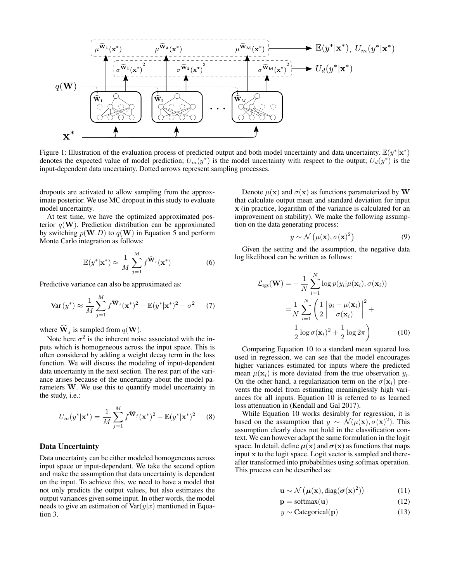

Figure 1: Illustration of the evaluation process of predicted output and both model uncertainty and data uncertainty.  $\mathbb{E}(y^*|\mathbf{x}^*)$ denotes the expected value of model prediction;  $U_m(y^*)$  is the model uncertainty with respect to the output;  $U_d(y^*)$  is the input-dependent data uncertainty. Dotted arrows represent sampling processes.

dropouts are activated to allow sampling from the approximate posterior. We use MC dropout in this study to evaluate model uncertainty.

At test time, we have the optimized approximated posterior  $q(\mathbf{W})$ . Prediction distribution can be approximated by switching  $p(\mathbf{W}|D)$  to  $q(\mathbf{W})$  in Equation 5 and perform Monte Carlo integration as follows:

$$
\mathbb{E}(y^*|\mathbf{x}^*) \approx \frac{1}{M} \sum_{j=1}^M f^{\widehat{\mathbf{W}}_j}(\mathbf{x}^*)
$$
 (6)

Predictive variance can also be approximated as:

$$
\text{Var}\left(y^*\right) \approx \frac{1}{M} \sum_{j=1}^{M} f^{\widehat{\mathbf{W}}_j} (\mathbf{x}^*)^2 - \mathbb{E}(y^*|\mathbf{x}^*)^2 + \sigma^2 \tag{7}
$$

where  $\widehat{\mathbf{W}}_j$  is sampled from  $q(\mathbf{W})$ .

Note here  $\sigma^2$  is the inherent noise associated with the inputs which is homogeneous across the input space. This is often considered by adding a weight decay term in the loss function. We will discuss the modeling of input-dependent data uncertainty in the next section. The rest part of the variance arises because of the uncertainty about the model parameters W. We use this to quantify model uncertainty in the study, i.e.:

$$
U_m(y^*|\mathbf{x}^*) = \frac{1}{M} \sum_{j=1}^M f^{\widehat{\mathbf{W}}_j}(\mathbf{x}^*)^2 - \mathbb{E}(y^*|\mathbf{x}^*)^2 \qquad (8)
$$

### Data Uncertainty

Data uncertainty can be either modeled homogeneous across input space or input-dependent. We take the second option and make the assumption that data uncertainty is dependent on the input. To achieve this, we need to have a model that not only predicts the output values, but also estimates the output variances given some input. In other words, the model needs to give an estimation of  $\text{Var}(y|x)$  mentioned in Equation 3.

Denote  $\mu(\mathbf{x})$  and  $\sigma(\mathbf{x})$  as functions parameterized by W that calculate output mean and standard deviation for input x (in practice, logarithm of the variance is calculated for an improvement on stability). We make the following assumption on the data generating process:

$$
y \sim \mathcal{N}\left(\mu(\mathbf{x}), \sigma(\mathbf{x})^2\right) \tag{9}
$$

Given the setting and the assumption, the negative data log likelihood can be written as follows:

$$
\mathcal{L}_{\text{rgs}}(\mathbf{W}) = -\frac{1}{N} \sum_{i=1}^{N} \log p(y_i | \mu(\mathbf{x}_i), \sigma(\mathbf{x}_i))
$$

$$
= \frac{1}{N} \sum_{i=1}^{N} \left( \frac{1}{2} \left| \frac{y_i - \mu(\mathbf{x}_i)}{\sigma(\mathbf{x}_i)} \right|^2 + \frac{1}{2} \log \sigma(\mathbf{x}_i)^2 + \frac{1}{2} \log 2\pi \right) \tag{10}
$$

Comparing Equation 10 to a standard mean squared loss used in regression, we can see that the model encourages higher variances estimated for inputs where the predicted mean  $\mu(\mathbf{x}_i)$  is more deviated from the true observation  $y_i$ . On the other hand, a regularization term on the  $\sigma(\mathbf{x}_i)$  prevents the model from estimating meaninglessly high variances for all inputs. Equation 10 is referred to as learned loss attenuation in (Kendall and Gal 2017).

While Equation 10 works desirably for regression, it is based on the assumption that  $y \sim \mathcal{N}(\mu(\mathbf{x}), \sigma(\mathbf{x})^2)$ . This assumption clearly does not hold in the classification context. We can however adapt the same formulation in the logit space. In detail, define  $\mu(x)$  and  $\sigma(x)$  as functions that maps input x to the logit space. Logit vector is sampled and thereafter transformed into probabilities using softmax operation. This process can be described as:

$$
\mathbf{u} \sim \mathcal{N}\left(\boldsymbol{\mu}(\mathbf{x}), \text{diag}(\boldsymbol{\sigma}(\mathbf{x})^2)\right) \tag{11}
$$

$$
\mathbf{p} = \text{softmax}(\mathbf{u}) \tag{12}
$$

$$
y \sim \text{Categorical}(\mathbf{p}) \tag{13}
$$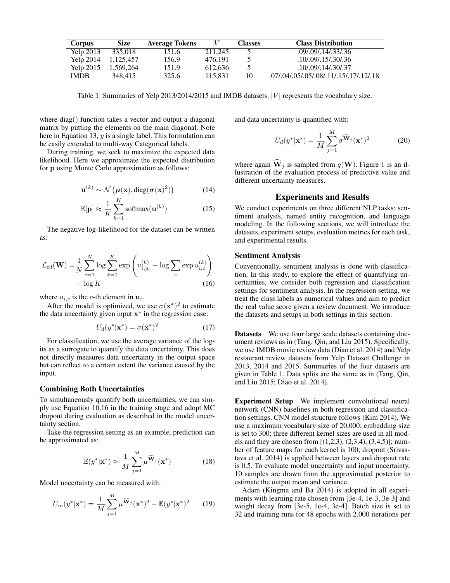| <b>Corpus</b> | <b>Size</b> | <b>Average Tokens</b> |         | <b>Classes</b> | <b>Class Distribution</b>               |
|---------------|-------------|-----------------------|---------|----------------|-----------------------------------------|
| Yelp 2013     | 335.018     | 151.6                 | 211,245 |                | .09/.09/.14/.33/.36                     |
| Yelp 2014     | 1,125,457   | 156.9                 | 476.191 |                | .10/.09/.15/.30/.36                     |
| Yelp 2015     | 1,569,264   | 151.9                 | 612.636 |                | .10/.09/.14/.30/.37                     |
| <b>IMDB</b>   | 348,415     | 325.6                 | 115.831 | 10             | .07/.04/.05/.05/.08/.11/.15/.17/.12/.18 |

Table 1: Summaries of Yelp 2013/2014/2015 and IMDB datasets.  $|V|$  represents the vocabulary size.

where diag() function takes a vector and output a diagonal matrix by putting the elements on the main diagonal. Note here in Equation 13,  $y$  is a single label. This formulation can be easily extended to multi-way Categorical labels.

During training, we seek to maximize the expected data likelihood. Here we approximate the expected distribution for p using Monte Carlo approximation as follows:

$$
\mathbf{u}^{(k)} \sim \mathcal{N}\left(\boldsymbol{\mu}(\mathbf{x}), \text{diag}(\boldsymbol{\sigma}(\mathbf{x})^2)\right) \tag{14}
$$

$$
\mathbb{E}[\mathbf{p}] \approx \frac{1}{K} \sum_{k=1}^{K} \text{softmax}(\mathbf{u}^{(k)})
$$
 (15)

The negative log-likelihood for the dataset can be written as:

$$
\mathcal{L}_{\text{clf}}(\mathbf{W}) = \frac{1}{N} \sum_{i=1}^{N} \log \sum_{k=1}^{K} \exp \left( u_{i, y_i}^{(k)} - \log \sum_{c} \exp u_{i, c}^{(k)} \right) - \log K \tag{16}
$$

where  $u_{i,c}$  is the c-th element in  $\mathbf{u}_i$ .

After the model is optimized, we use  $\sigma(\mathbf{x}^*)^2$  to estimate the data uncertainty given input  $x^*$  in the regression case:

$$
U_d(y^*|\mathbf{x}^*) = \sigma(\mathbf{x}^*)^2 \tag{17}
$$

For classification, we use the average variance of the logits as a surrogate to quantify the data uncertainty. This does not directly measures data uncertainty in the output space but can reflect to a certain extent the variance caused by the input.

### Combining Both Uncertainties

To simultaneously quantify both uncertainties, we can simply use Equation 10,16 in the training stage and adopt MC dropout during evaluation as described in the model uncertainty section.

Take the regression setting as an example, prediction can be approximated as:

$$
\mathbb{E}(y^*|\mathbf{x}^*) \approx \frac{1}{M} \sum_{j=1}^M \mu^{\widehat{\mathbf{W}}_j}(\mathbf{x}^*)
$$
 (18)

Model uncertainty can be measured with:

$$
U_m(y^*|\mathbf{x}^*) = \frac{1}{M} \sum_{j=1}^M \mu^{\widehat{\mathbf{W}}_j} (\mathbf{x}^*)^2 - \mathbb{E}(y^*|\mathbf{x}^*)^2 \qquad (19)
$$

and data uncertainty is quantified with:

$$
U_d(y^*|\mathbf{x}^*) = \frac{1}{M} \sum_{j=1}^M \sigma^{\widehat{\mathbf{W}}_j} (\mathbf{x}^*)^2
$$
 (20)

where again  $\hat{\mathbf{W}}_j$  is sampled from  $q(\mathbf{W})$ . Figure 1 is an illustration of the evaluation process of predictive value and different uncertainty measures.

#### Experiments and Results

We conduct experiments on three different NLP tasks: sentiment analysis, named entity recognition, and language modeling. In the following sections, we will introduce the datasets, experiment setups, evaluation metrics for each task, and experimental results.

### Sentiment Analysis

Conventionally, sentiment analysis is done with classification. In this study, to explore the effect of quantifying uncertainties, we consider both regression and classification settings for sentiment analysis. In the regression setting, we treat the class labels as numerical values and aim to predict the real value score given a review document. We introduce the datasets and setups in both settings in this section.

Datasets We use four large scale datasets containing document reviews as in (Tang, Qin, and Liu 2015). Specifically, we use IMDB movie review data (Diao et al. 2014) and Yelp restaurant review datasets from Yelp Dataset Challenge in 2013, 2014 and 2015. Summaries of the four datasets are given in Table 1. Data splits are the same as in (Tang, Qin, and Liu 2015; Diao et al. 2014).

Experiment Setup We implement convolutional neural network (CNN) baselines in both regression and classification settings. CNN model structure follows (Kim 2014). We use a maximum vocabulary size of 20,000; embedding size is set to 300; three different kernel sizes are used in all models and they are chosen from  $[(1,2,3), (2,3,4), (3,4,5)]$ ; number of feature maps for each kernel is 100; dropout (Srivastava et al. 2014) is applied between layers and dropout rate is 0.5. To evaluate model uncertainty and input uncertainty, 10 samples are drawn from the approximated posterior to estimate the output mean and variance.

Adam (Kingma and Ba 2014) is adopted in all experiments with learning rate chosen from [3e-4, 1e-3, 3e-3] and weight decay from [3e-5, 1e-4, 3e-4]. Batch size is set to 32 and training runs for 48 epochs with 2,000 iterations per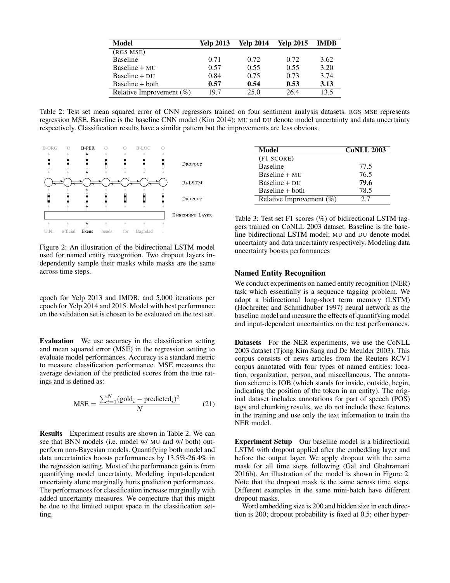| Model                       | <b>Yelp 2013</b> | <b>Yelp 2014</b> | <b>Yelp 2015</b> | -IMDB |
|-----------------------------|------------------|------------------|------------------|-------|
| (RGS MSE)                   |                  |                  |                  |       |
| <b>Baseline</b>             | 0.71             | 0.72             | 0.72             | 3.62  |
| $Basicline + MU$            | 0.57             | 0.55             | 0.55             | 3.20  |
| Baseline $+$ DU             | 0.84             | 0.75             | 0.73             | 3.74  |
| Baseline + both             | 0.57             | 0.54             | 0.53             | 3.13  |
| Relative Improvement $(\%)$ | 19.7             | 25.0             | 26.4             | 13.5  |

Table 2: Test set mean squared error of CNN regressors trained on four sentiment analysis datasets. RGS MSE represents regression MSE. Baseline is the baseline CNN model (Kim 2014); MU and DU denote model uncertainty and data uncertainty respectively. Classification results have a similar pattern but the improvements are less obvious.



Figure 2: An illustration of the bidirectional LSTM model used for named entity recognition. Two dropout layers independently sample their masks while masks are the same across time steps.

epoch for Yelp 2013 and IMDB, and 5,000 iterations per epoch for Yelp 2014 and 2015. Model with best performance on the validation set is chosen to be evaluated on the test set.

Evaluation We use accuracy in the classification setting and mean squared error (MSE) in the regression setting to evaluate model performances. Accuracy is a standard metric to measure classification performance. MSE measures the average deviation of the predicted scores from the true ratings and is defined as:

$$
\text{MSE} = \frac{\sum_{i=1}^{N} (\text{gold}_i - \text{predicted}_i)^2}{N} \tag{21}
$$

Results Experiment results are shown in Table 2. We can see that BNN models (i.e. model w/ MU and w/ both) outperform non-Bayesian models. Quantifying both model and data uncertainties boosts performances by 13.5%-26.4% in the regression setting. Most of the performance gain is from quantifying model uncertainty. Modeling input-dependent uncertainty alone marginally hurts prediction performances. The performances for classification increase marginally with added uncertainty measures. We conjecture that this might be due to the limited output space in the classification setting.

| Model                       | <b>CoNLL 2003</b> |
|-----------------------------|-------------------|
| (F1 SCORE)                  |                   |
| <b>Baseline</b>             | 77.5              |
| Baseline $+$ MU             | 76.5              |
| Baseline $+$ DU             | 79.6              |
| $Baseline + both$           | 78.5              |
| Relative Improvement $(\%)$ | 27                |

Table 3: Test set F1 scores (%) of bidirectional LSTM taggers trained on CoNLL 2003 dataset. Baseline is the baseline bidirectional LSTM model; MU and DU denote model uncertainty and data uncertainty respectively. Modeling data uncertainty boosts performances

### Named Entity Recognition

We conduct experiments on named entity recognition (NER) task which essentially is a sequence tagging problem. We adopt a bidirectional long-short term memory (LSTM) (Hochreiter and Schmidhuber 1997) neural network as the baseline model and measure the effects of quantifying model and input-dependent uncertainties on the test performances.

Datasets For the NER experiments, we use the CoNLL 2003 dataset (Tjong Kim Sang and De Meulder 2003). This corpus consists of news articles from the Reuters RCV1 corpus annotated with four types of named entities: location, organization, person, and miscellaneous. The annotation scheme is IOB (which stands for inside, outside, begin, indicating the position of the token in an entity). The original dataset includes annotations for part of speech (POS) tags and chunking results, we do not include these features in the training and use only the text information to train the NER model.

Experiment Setup Our baseline model is a bidirectional LSTM with dropout applied after the embedding layer and before the output layer. We apply dropout with the same mask for all time steps following (Gal and Ghahramani 2016b). An illustration of the model is shown in Figure 2. Note that the dropout mask is the same across time steps. Different examples in the same mini-batch have different dropout masks.

Word embedding size is 200 and hidden size in each direction is 200; dropout probability is fixed at 0.5; other hyper-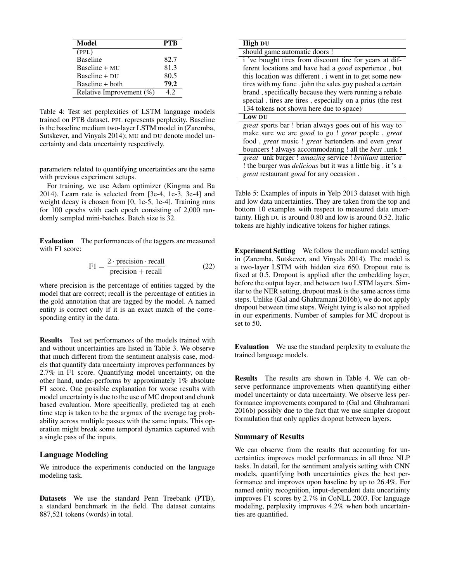| Model                       | PTR  |
|-----------------------------|------|
| (PPL)                       |      |
| <b>Baseline</b>             | 82.7 |
| $Basicline + MU$            | 81.3 |
| $Basicline + DI$            | 80.5 |
| Baseline + both             | 79.2 |
| Relative Improvement $(\%)$ | 12   |

Table 4: Test set perplexities of LSTM language models trained on PTB dataset. PPL represents perplexity. Baseline is the baseline medium two-layer LSTM model in (Zaremba, Sutskever, and Vinyals 2014); MU and DU denote model uncertainty and data uncertainty respectively.

parameters related to quantifying uncertainties are the same with previous experiment setups.

For training, we use Adam optimizer (Kingma and Ba 2014). Learn rate is selected from [3e-4, 1e-3, 3e-4] and weight decay is chosen from [0, 1e-5, 1e-4]. Training runs for 100 epochs with each epoch consisting of 2,000 randomly sampled mini-batches. Batch size is 32.

Evaluation The performances of the taggers are measured with F1 score:

$$
F1 = \frac{2 \cdot \text{precision} \cdot \text{recall}}{\text{precision} + \text{recall}}
$$
 (22)

where precision is the percentage of entities tagged by the model that are correct; recall is the percentage of entities in the gold annotation that are tagged by the model. A named entity is correct only if it is an exact match of the corresponding entity in the data.

Results Test set performances of the models trained with and without uncertainties are listed in Table 3. We observe that much different from the sentiment analysis case, models that quantify data uncertainty improves performances by 2.7% in F1 score. Quantifying model uncertainty, on the other hand, under-performs by approximately 1% absolute F1 score. One possible explanation for worse results with model uncertainty is due to the use of MC dropout and chunk based evaluation. More specifically, predicted tag at each time step is taken to be the argmax of the average tag probability across multiple passes with the same inputs. This operation might break some temporal dynamics captured with a single pass of the inputs.

### Language Modeling

We introduce the experiments conducted on the language modeling task.

Datasets We use the standard Penn Treebank (PTB), a standard benchmark in the field. The dataset contains 887,521 tokens (words) in total.

| <b>High DU</b>                                                         |
|------------------------------------------------------------------------|
| should game automatic doors !                                          |
| i 've bought tires from discount tire for years at dif-                |
| ferent locations and have had a <i>good</i> experience, but            |
| this location was different . i went in to get some new                |
| tires with my fianc. john the sales guy pushed a certain               |
| brand, specifically because they were running a rebate                 |
| special. tires are tires, especially on a prius (the rest              |
| 134 tokens not shown here due to space)                                |
| Low DU                                                                 |
| great sports bar ! brian always goes out of his way to                 |
| make sure we are <i>good</i> to go ! <i>great</i> people, <i>great</i> |
| food, great music ! great bartenders and even great                    |
| bouncers ! always accommodating ! all the <i>best</i> _unk !           |
| great _unk burger ! amazing service ! brilliant interior               |
| ! the burger was <i>delicious</i> but it was a little big. it 's a     |
|                                                                        |

Table 5: Examples of inputs in Yelp 2013 dataset with high and low data uncertainties. They are taken from the top and bottom 10 examples with respect to measured data uncertainty. High DU is around 0.80 and low is around 0.52. Italic tokens are highly indicative tokens for higher ratings.

Experiment Setting We follow the medium model setting in (Zaremba, Sutskever, and Vinyals 2014). The model is a two-layer LSTM with hidden size 650. Dropout rate is fixed at 0.5. Dropout is applied after the embedding layer, before the output layer, and between two LSTM layers. Similar to the NER setting, dropout mask is the same across time steps. Unlike (Gal and Ghahramani 2016b), we do not apply dropout between time steps. Weight tying is also not applied in our experiments. Number of samples for MC dropout is set to 50.

Evaluation We use the standard perplexity to evaluate the trained language models.

Results The results are shown in Table 4. We can observe performance improvements when quantifying either model uncertainty or data uncertainty. We observe less performance improvements compared to (Gal and Ghahramani 2016b) possibly due to the fact that we use simpler dropout formulation that only applies dropout between layers.

#### Summary of Results

We can observe from the results that accounting for uncertainties improves model performances in all three NLP tasks. In detail, for the sentiment analysis setting with CNN models, quantifying both uncertainties gives the best performance and improves upon baseline by up to 26.4%. For named entity recognition, input-dependent data uncertainty improves F1 scores by 2.7% in CoNLL 2003. For language modeling, perplexity improves 4.2% when both uncertainties are quantified.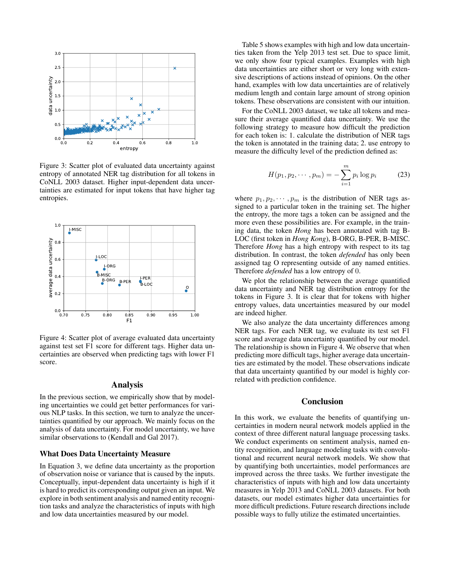

Figure 3: Scatter plot of evaluated data uncertainty against entropy of annotated NER tag distribution for all tokens in CoNLL 2003 dataset. Higher input-dependent data uncertainties are estimated for input tokens that have higher tag entropies.



Figure 4: Scatter plot of average evaluated data uncertainty against test set F1 score for different tags. Higher data uncertainties are observed when predicting tags with lower F1 score.

### Analysis

In the previous section, we empirically show that by modeling uncertainties we could get better performances for various NLP tasks. In this section, we turn to analyze the uncertainties quantified by our approach. We mainly focus on the analysis of data uncertainty. For model uncertainty, we have similar observations to (Kendall and Gal 2017).

### What Does Data Uncertainty Measure

In Equation 3, we define data uncertainty as the proportion of observation noise or variance that is caused by the inputs. Conceptually, input-dependent data uncertainty is high if it is hard to predict its corresponding output given an input. We explore in both sentiment analysis and named entity recognition tasks and analyze the characteristics of inputs with high and low data uncertainties measured by our model.

Table 5 shows examples with high and low data uncertainties taken from the Yelp 2013 test set. Due to space limit, we only show four typical examples. Examples with high data uncertainties are either short or very long with extensive descriptions of actions instead of opinions. On the other hand, examples with low data uncertainties are of relatively medium length and contain large amount of strong opinion tokens. These observations are consistent with our intuition.

For the CoNLL 2003 dataset, we take all tokens and measure their average quantified data uncertainty. We use the following strategy to measure how difficult the prediction for each token is: 1. calculate the distribution of NER tags the token is annotated in the training data; 2. use entropy to measure the difficulty level of the prediction defined as:

$$
H(p_1, p_2, \cdots, p_m) = -\sum_{i=1}^{m} p_i \log p_i \qquad (23)
$$

where  $p_1, p_2, \dots, p_m$  is the distribution of NER tags assigned to a particular token in the training set. The higher the entropy, the more tags a token can be assigned and the more even these possibilities are. For example, in the training data, the token *Hong* has been annotated with tag B-LOC (first token in *Hong Kong*), B-ORG, B-PER, B-MISC. Therefore *Hong* has a high entropy with respect to its tag distribution. In contrast, the token *defended* has only been assigned tag O representing outside of any named entities. Therefore *defended* has a low entropy of 0.

We plot the relationship between the average quantified data uncertainty and NER tag distribution entropy for the tokens in Figure 3. It is clear that for tokens with higher entropy values, data uncertainties measured by our model are indeed higher.

We also analyze the data uncertainty differences among NER tags. For each NER tag, we evaluate its test set F1 score and average data uncertainty quantified by our model. The relationship is shown in Figure 4. We observe that when predicting more difficult tags, higher average data uncertainties are estimated by the model. These observations indicate that data uncertainty quantified by our model is highly correlated with prediction confidence.

## **Conclusion**

In this work, we evaluate the benefits of quantifying uncertainties in modern neural network models applied in the context of three different natural language processing tasks. We conduct experiments on sentiment analysis, named entity recognition, and language modeling tasks with convolutional and recurrent neural network models. We show that by quantifying both uncertainties, model performances are improved across the three tasks. We further investigate the characteristics of inputs with high and low data uncertainty measures in Yelp 2013 and CoNLL 2003 datasets. For both datasets, our model estimates higher data uncertainties for more difficult predictions. Future research directions include possible ways to fully utilize the estimated uncertainties.